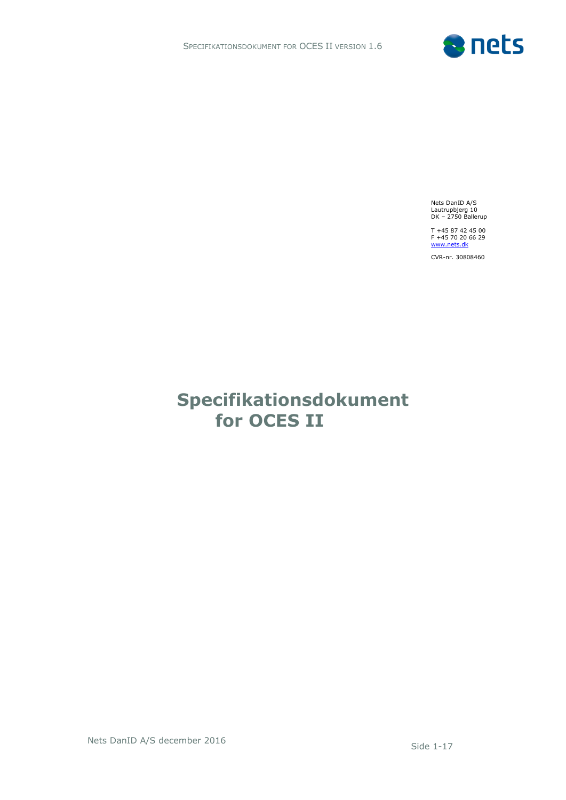

Nets DanID A/S Lautrupbjerg 10 DK – 2750 Ballerup

T +45 87 42 45 00<br>F +45 70 20 66 29<br><u>[www.nets.dk](http://www.nets.dk/)</u>

CVR-nr. 30808460

# **Specifikationsdokument for OCES II**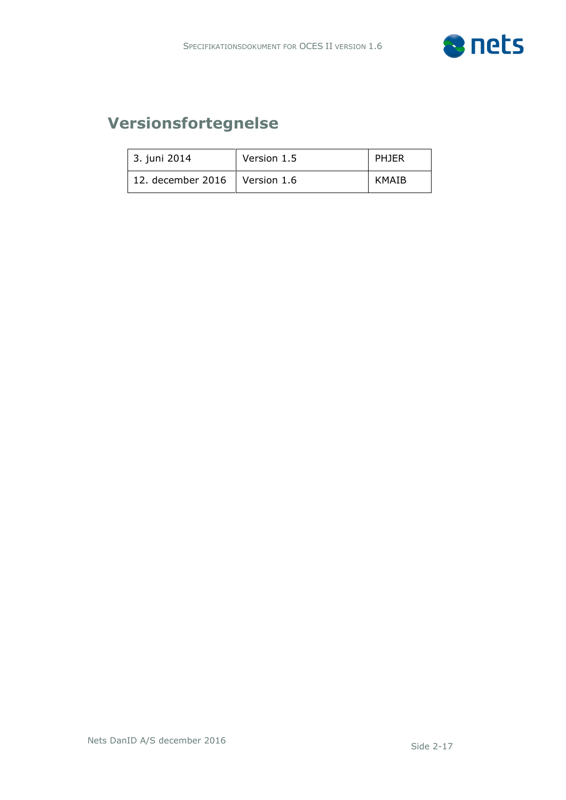

# **Versionsfortegnelse**

| 3. juni 2014                    | Version 1.5 | PHJER |
|---------------------------------|-------------|-------|
| 12. december 2016   Version 1.6 |             | KMAIB |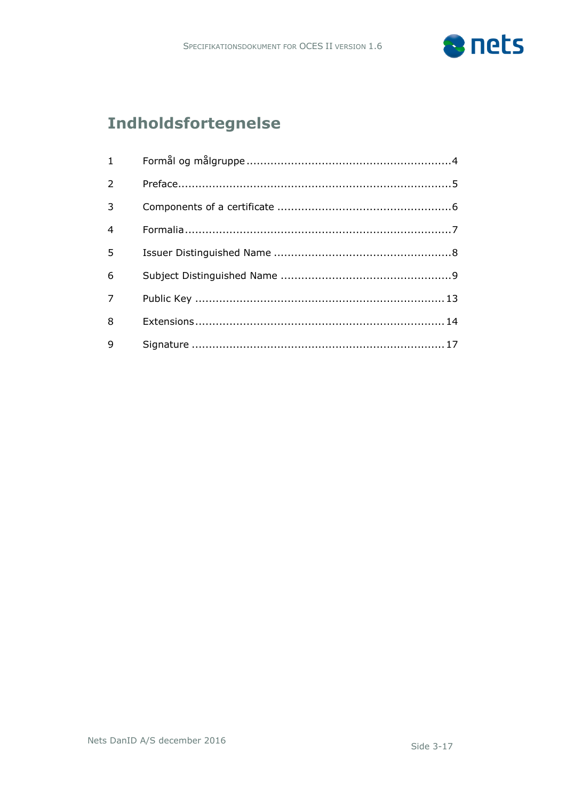

# **Indholdsfortegnelse**

| $1 \quad \blacksquare$ |  |
|------------------------|--|
| 2                      |  |
| 3                      |  |
| $\overline{4}$         |  |
| 5                      |  |
| 6                      |  |
| $\overline{7}$         |  |
| 8                      |  |
| 9                      |  |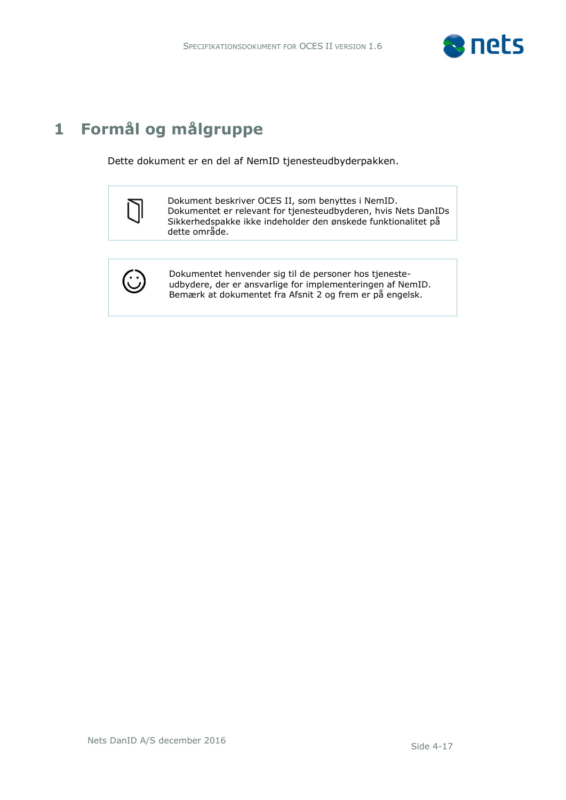

# <span id="page-3-0"></span>**1 Formål og målgruppe**

Dette dokument er en del af NemID tjenesteudbyderpakken.



Dokument beskriver OCES II, som benyttes i NemID. Dokumentet er relevant for tjenesteudbyderen, hvis Nets DanIDs Sikkerhedspakke ikke indeholder den ønskede funktionalitet på dette område.



Dokumentet henvender sig til de personer hos tjenesteudbydere, der er ansvarlige for implementeringen af NemID. Bemærk at dokumentet fra Afsnit 2 og frem er på engelsk.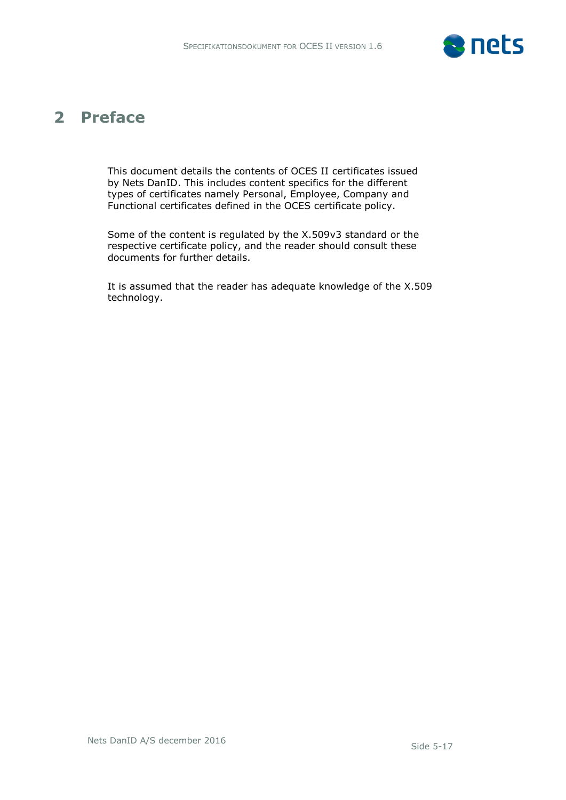

## <span id="page-4-0"></span>**2 Preface**

This document details the contents of OCES II certificates issued by Nets DanID. This includes content specifics for the different types of certificates namely Personal, Employee, Company and Functional certificates defined in the OCES certificate policy.

Some of the content is regulated by the X.509v3 standard or the respective certificate policy, and the reader should consult these documents for further details.

It is assumed that the reader has adequate knowledge of the X.509 technology.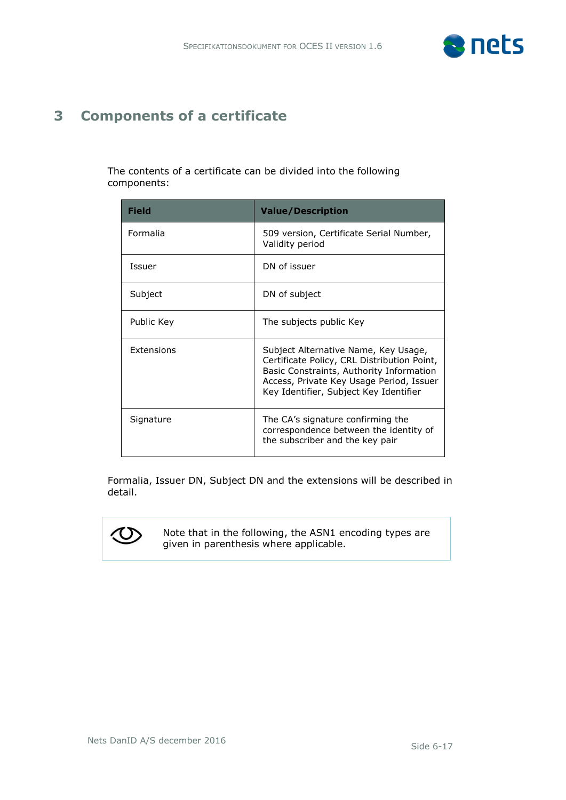

### <span id="page-5-0"></span>**3 Components of a certificate**

 $\sim$ 

The contents of a certificate can be divided into the following components:

| <b>Field</b>      | <b>Value/Description</b>                                                                                                                                                                                              |
|-------------------|-----------------------------------------------------------------------------------------------------------------------------------------------------------------------------------------------------------------------|
| Formalia          | 509 version, Certificate Serial Number,<br>Validity period                                                                                                                                                            |
| Issuer            | DN of issuer                                                                                                                                                                                                          |
| Subject           | DN of subject                                                                                                                                                                                                         |
| Public Key        | The subjects public Key                                                                                                                                                                                               |
| <b>Extensions</b> | Subject Alternative Name, Key Usage,<br>Certificate Policy, CRL Distribution Point,<br>Basic Constraints, Authority Information<br>Access, Private Key Usage Period, Issuer<br>Key Identifier, Subject Key Identifier |
| Signature         | The CA's signature confirming the<br>correspondence between the identity of<br>the subscriber and the key pair                                                                                                        |

Formalia, Issuer DN, Subject DN and the extensions will be described in detail.



Note that in the following, the ASN1 encoding types are given in parenthesis where applicable.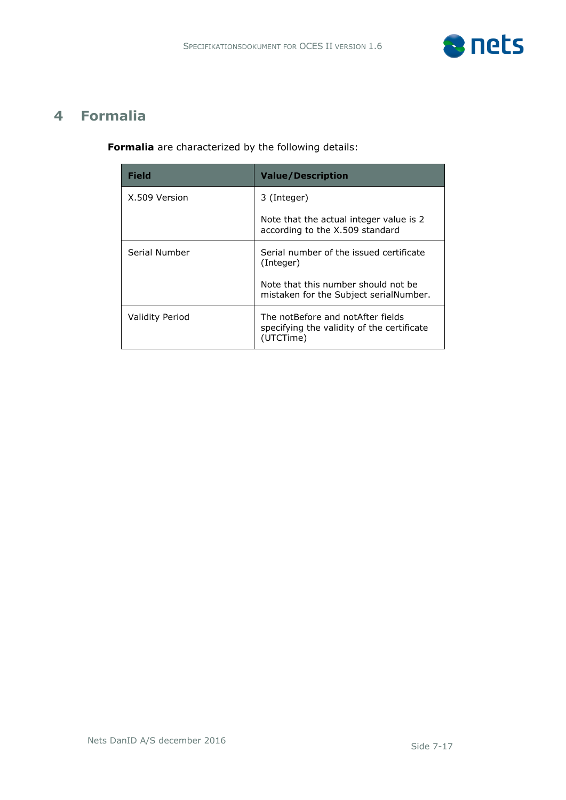

#### <span id="page-6-0"></span>**4 Formalia**

**Formalia** are characterized by the following details:

| <b>Field</b>           | <b>Value/Description</b>                                                                     |
|------------------------|----------------------------------------------------------------------------------------------|
| X.509 Version          | 3 (Integer)                                                                                  |
|                        | Note that the actual integer value is 2<br>according to the X.509 standard                   |
| Serial Number          | Serial number of the issued certificate<br>(Integer)                                         |
|                        | Note that this number should not be<br>mistaken for the Subject serialNumber.                |
| <b>Validity Period</b> | The notBefore and notAfter fields<br>specifying the validity of the certificate<br>(UTCTime) |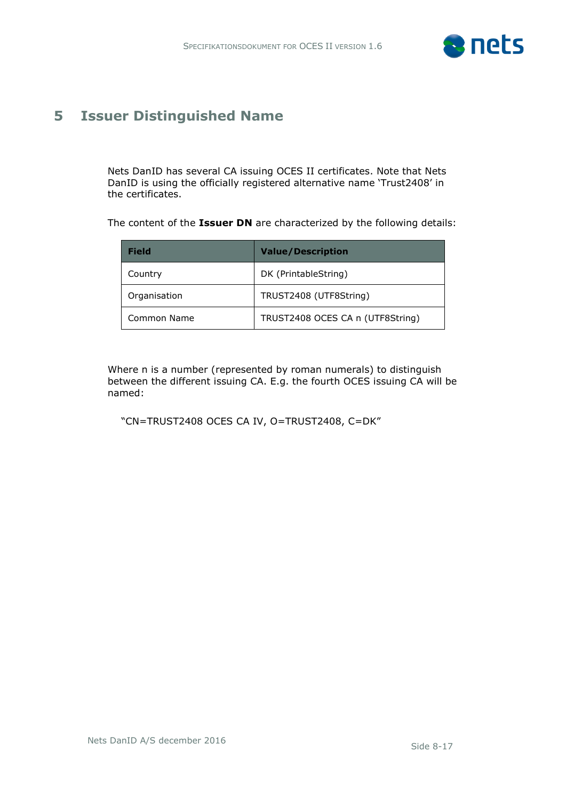

#### <span id="page-7-0"></span>**5 Issuer Distinguished Name**

Nets DanID has several CA issuing OCES II certificates. Note that Nets DanID is using the officially registered alternative name 'Trust2408' in the certificates.

The content of the **Issuer DN** are characterized by the following details:

| <b>Field</b> | <b>Value/Description</b>         |
|--------------|----------------------------------|
| Country      | DK (PrintableString)             |
| Organisation | TRUST2408 (UTF8String)           |
| Common Name  | TRUST2408 OCES CA n (UTF8String) |

Where n is a number (represented by roman numerals) to distinguish between the different issuing CA. E.g. the fourth OCES issuing CA will be named:

"CN=TRUST2408 OCES CA IV, O=TRUST2408, C=DK"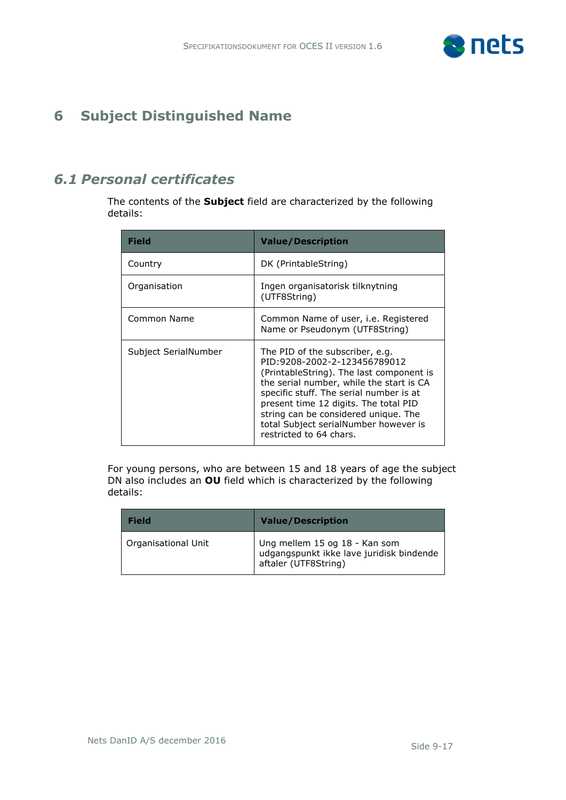

### <span id="page-8-0"></span>**6 Subject Distinguished Name**

#### *6.1 Personal certificates*

The contents of the **Subject** field are characterized by the following details:

| Field                | <b>Value/Description</b>                                                                                                                                                                                                                                                                                                                                |
|----------------------|---------------------------------------------------------------------------------------------------------------------------------------------------------------------------------------------------------------------------------------------------------------------------------------------------------------------------------------------------------|
| Country              | DK (PrintableString)                                                                                                                                                                                                                                                                                                                                    |
| Organisation         | Ingen organisatorisk tilknytning<br>(UTF8String)                                                                                                                                                                                                                                                                                                        |
| Common Name          | Common Name of user, <i>i.e.</i> Registered<br>Name or Pseudonym (UTF8String)                                                                                                                                                                                                                                                                           |
| Subject SerialNumber | The PID of the subscriber, e.g.<br>PID:9208-2002-2-123456789012<br>(PrintableString). The last component is<br>the serial number, while the start is CA<br>specific stuff. The serial number is at<br>present time 12 digits. The total PID<br>string can be considered unique. The<br>total Subject serialNumber however is<br>restricted to 64 chars. |

For young persons, who are between 15 and 18 years of age the subject DN also includes an **OU** field which is characterized by the following details:

| <b>Field</b>        | <b>Value/Description</b>                                                                          |
|---------------------|---------------------------------------------------------------------------------------------------|
| Organisational Unit | Ung mellem 15 og 18 - Kan som<br>udgangspunkt ikke lave juridisk bindende<br>aftaler (UTF8String) |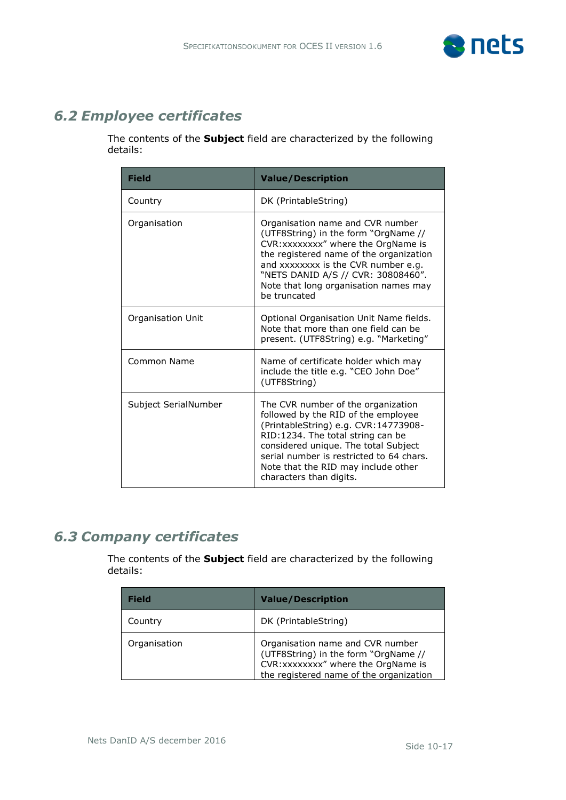

### *6.2 Employee certificates*

The contents of the **Subject** field are characterized by the following details:

| <b>Field</b>         | <b>Value/Description</b>                                                                                                                                                                                                                                                                                     |
|----------------------|--------------------------------------------------------------------------------------------------------------------------------------------------------------------------------------------------------------------------------------------------------------------------------------------------------------|
| Country              | DK (PrintableString)                                                                                                                                                                                                                                                                                         |
| Organisation         | Organisation name and CVR number<br>(UTF8String) in the form "OrgName //<br>CVR: xxxxxxxx" where the OrgName is<br>the registered name of the organization<br>and xxxxxxxx is the CVR number e.g.<br>"NETS DANID A/S // CVR: 30808460".<br>Note that long organisation names may<br>be truncated             |
| Organisation Unit    | Optional Organisation Unit Name fields.<br>Note that more than one field can be<br>present. (UTF8String) e.g. "Marketing"                                                                                                                                                                                    |
| Common Name          | Name of certificate holder which may<br>include the title e.g. "CEO John Doe"<br>(UTF8String)                                                                                                                                                                                                                |
| Subject SerialNumber | The CVR number of the organization<br>followed by the RID of the employee<br>(PrintableString) e.g. CVR:14773908-<br>RID:1234. The total string can be<br>considered unique. The total Subject<br>serial number is restricted to 64 chars.<br>Note that the RID may include other<br>characters than digits. |

#### *6.3 Company certificates*

The contents of the **Subject** field are characterized by the following details:

| <b>Field</b> | <b>Value/Description</b>                                                                                                                                   |
|--------------|------------------------------------------------------------------------------------------------------------------------------------------------------------|
| Country      | DK (PrintableString)                                                                                                                                       |
| Organisation | Organisation name and CVR number<br>(UTF8String) in the form "OrgName //<br>CVR: xxxxxxxx" where the OrgName is<br>the registered name of the organization |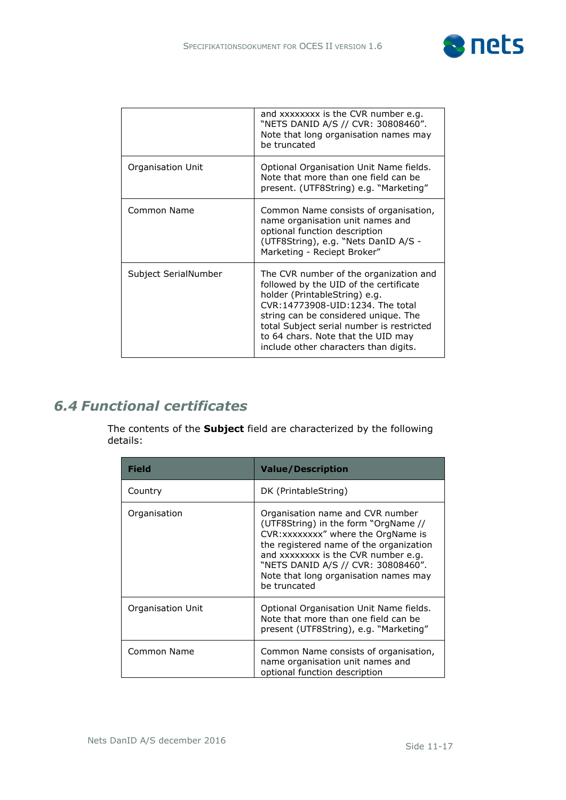

|                      | and xxxxxxxx is the CVR number e.g.<br>"NETS DANID A/S // CVR: 30808460".<br>Note that long organisation names may<br>be truncated                                                                                                                                                                                        |
|----------------------|---------------------------------------------------------------------------------------------------------------------------------------------------------------------------------------------------------------------------------------------------------------------------------------------------------------------------|
| Organisation Unit    | Optional Organisation Unit Name fields.<br>Note that more than one field can be<br>present. (UTF8String) e.g. "Marketing"                                                                                                                                                                                                 |
| Common Name          | Common Name consists of organisation,<br>name organisation unit names and<br>optional function description<br>(UTF8String), e.g. "Nets DanID A/S -<br>Marketing - Reciept Broker"                                                                                                                                         |
| Subject SerialNumber | The CVR number of the organization and<br>followed by the UID of the certificate<br>holder (PrintableString) e.g.<br>CVR:14773908-UID:1234. The total<br>string can be considered unique. The<br>total Subject serial number is restricted<br>to 64 chars. Note that the UID may<br>include other characters than digits. |

## *6.4 Functional certificates*

The contents of the **Subject** field are characterized by the following details:

| <b>Field</b>      | <b>Value/Description</b>                                                                                                                                                                                                                                                                         |
|-------------------|--------------------------------------------------------------------------------------------------------------------------------------------------------------------------------------------------------------------------------------------------------------------------------------------------|
| Country           | DK (PrintableString)                                                                                                                                                                                                                                                                             |
| Organisation      | Organisation name and CVR number<br>(UTF8String) in the form "OrgName //<br>CVR: xxxxxxxx" where the OrgName is<br>the registered name of the organization<br>and xxxxxxxx is the CVR number e.g.<br>"NETS DANID A/S // CVR: 30808460".<br>Note that long organisation names may<br>be truncated |
| Organisation Unit | Optional Organisation Unit Name fields.<br>Note that more than one field can be<br>present (UTF8String), e.g. "Marketing"                                                                                                                                                                        |
| Common Name       | Common Name consists of organisation,<br>name organisation unit names and<br>optional function description                                                                                                                                                                                       |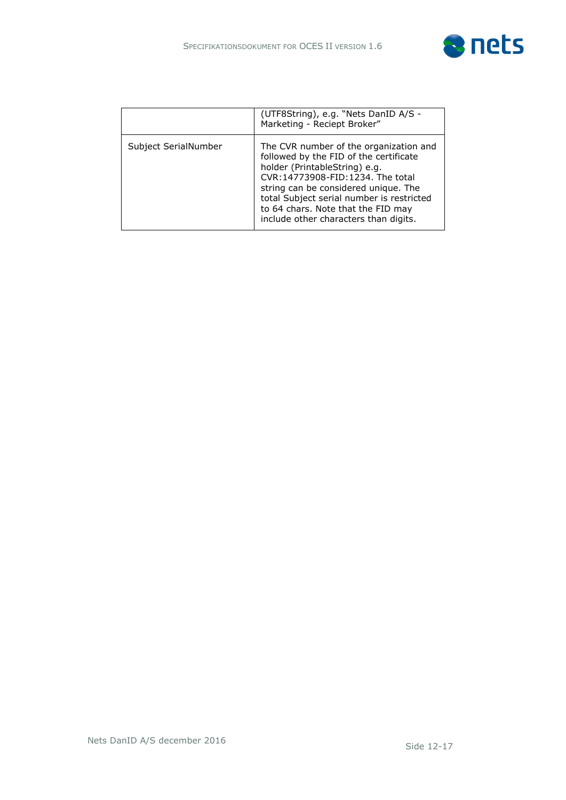

|                      | (UTF8String), e.g. "Nets DanID A/S -<br>Marketing - Reciept Broker"                                                                                                                                                                                                                                                       |
|----------------------|---------------------------------------------------------------------------------------------------------------------------------------------------------------------------------------------------------------------------------------------------------------------------------------------------------------------------|
| Subject SerialNumber | The CVR number of the organization and<br>followed by the FID of the certificate<br>holder (PrintableString) e.g.<br>CVR:14773908-FID:1234. The total<br>string can be considered unique. The<br>total Subject serial number is restricted<br>to 64 chars. Note that the FID may<br>include other characters than digits. |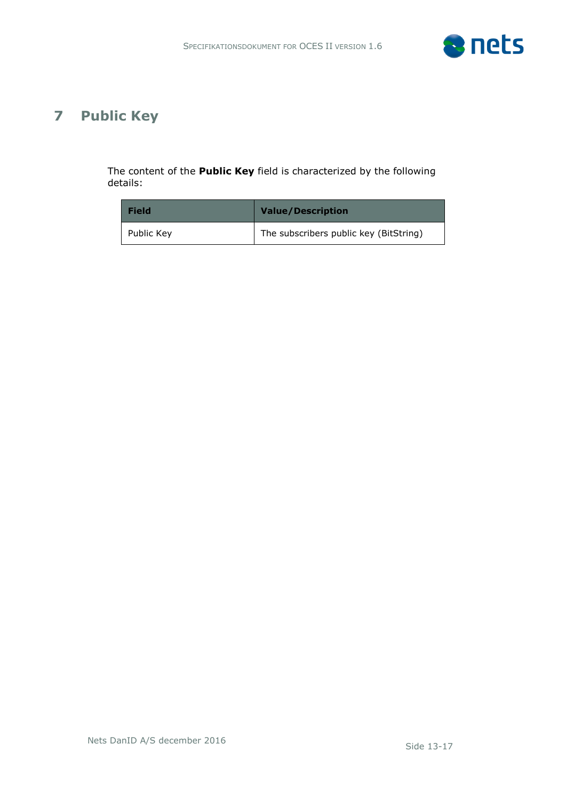

## <span id="page-12-0"></span>**7 Public Key**

The content of the **Public Key** field is characterized by the following details:

| <b>Field</b> | <b>Value/Description</b>               |
|--------------|----------------------------------------|
| Public Key   | The subscribers public key (BitString) |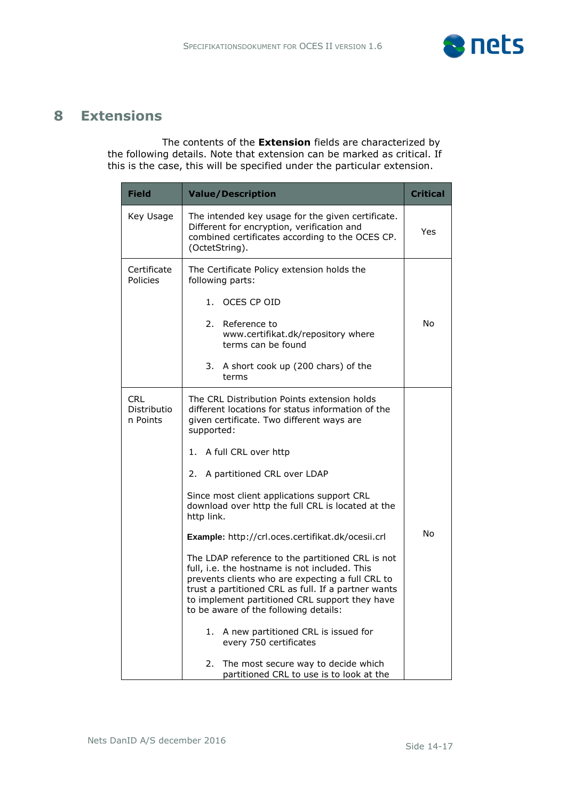

#### <span id="page-13-0"></span>**8 Extensions**

The contents of the **Extension** fields are characterized by the following details. Note that extension can be marked as critical. If this is the case, this will be specified under the particular extension.

| <b>Field</b>                          | <b>Value/Description</b>                                                                                                                                                                                                                                                                                | <b>Critical</b> |
|---------------------------------------|---------------------------------------------------------------------------------------------------------------------------------------------------------------------------------------------------------------------------------------------------------------------------------------------------------|-----------------|
| Key Usage                             | The intended key usage for the given certificate.<br>Different for encryption, verification and<br>combined certificates according to the OCES CP.<br>(OctetString).                                                                                                                                    | Yes             |
| Certificate<br>Policies               | The Certificate Policy extension holds the<br>following parts:<br>OCES CP OID<br>1.<br>2.<br>Reference to                                                                                                                                                                                               | No              |
|                                       | www.certifikat.dk/repository where<br>terms can be found<br>3.<br>A short cook up (200 chars) of the<br>terms                                                                                                                                                                                           |                 |
| <b>CRL</b><br>Distributio<br>n Points | The CRL Distribution Points extension holds<br>different locations for status information of the<br>given certificate. Two different ways are<br>supported:                                                                                                                                             |                 |
|                                       | A full CRL over http<br>1.                                                                                                                                                                                                                                                                              |                 |
|                                       | A partitioned CRL over LDAP<br>2.                                                                                                                                                                                                                                                                       |                 |
|                                       | Since most client applications support CRL<br>download over http the full CRL is located at the<br>http link.                                                                                                                                                                                           |                 |
|                                       | No<br>Example: http://crl.oces.certifikat.dk/ocesii.crl                                                                                                                                                                                                                                                 |                 |
|                                       | The LDAP reference to the partitioned CRL is not<br>full, i.e. the hostname is not included. This<br>prevents clients who are expecting a full CRL to<br>trust a partitioned CRL as full. If a partner wants<br>to implement partitioned CRL support they have<br>to be aware of the following details: |                 |
|                                       | A new partitioned CRL is issued for<br>1.<br>every 750 certificates                                                                                                                                                                                                                                     |                 |
|                                       | The most secure way to decide which<br>2.<br>partitioned CRL to use is to look at the                                                                                                                                                                                                                   |                 |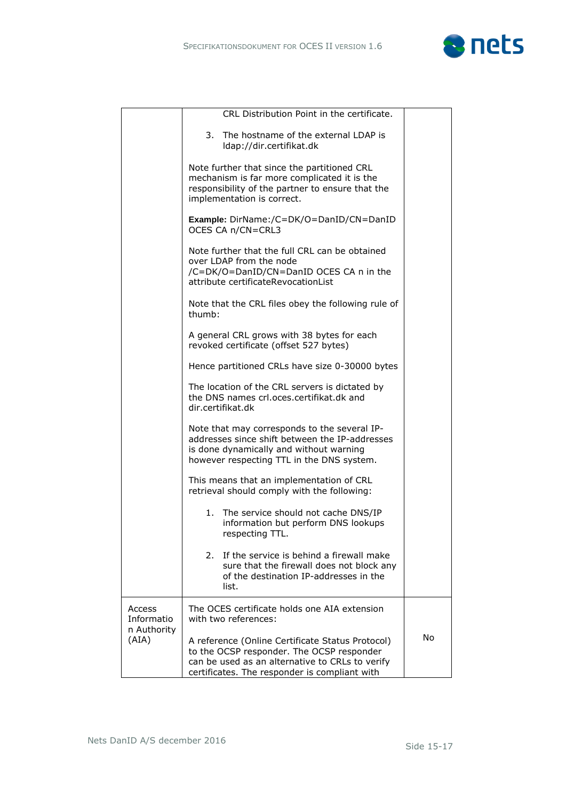

|                      | CRL Distribution Point in the certificate.                                                                                                                                                        |    |  |
|----------------------|---------------------------------------------------------------------------------------------------------------------------------------------------------------------------------------------------|----|--|
|                      | 3. The hostname of the external LDAP is<br>Idap://dir.certifikat.dk                                                                                                                               |    |  |
|                      | Note further that since the partitioned CRL<br>mechanism is far more complicated it is the<br>responsibility of the partner to ensure that the<br>implementation is correct.                      |    |  |
|                      | Example: DirName:/C=DK/O=DanID/CN=DanID<br>OCES CA n/CN=CRL3                                                                                                                                      |    |  |
|                      | Note further that the full CRL can be obtained<br>over LDAP from the node<br>/C=DK/O=DanID/CN=DanID OCES CA n in the<br>attribute certificateRevocationList                                       |    |  |
|                      | Note that the CRL files obey the following rule of<br>thumb:                                                                                                                                      |    |  |
|                      | A general CRL grows with 38 bytes for each<br>revoked certificate (offset 527 bytes)                                                                                                              |    |  |
|                      | Hence partitioned CRLs have size 0-30000 bytes                                                                                                                                                    |    |  |
|                      | The location of the CRL servers is dictated by<br>the DNS names crl.oces.certifikat.dk and<br>dir.certifikat.dk                                                                                   |    |  |
|                      | Note that may corresponds to the several IP-<br>addresses since shift between the IP-addresses<br>is done dynamically and without warning<br>however respecting TTL in the DNS system.            |    |  |
|                      | This means that an implementation of CRL<br>retrieval should comply with the following:                                                                                                           |    |  |
|                      | 1. The service should not cache DNS/IP<br>information but perform DNS lookups<br>respecting TTL.                                                                                                  |    |  |
|                      | If the service is behind a firewall make<br>2.<br>sure that the firewall does not block any<br>of the destination IP-addresses in the<br>list.                                                    |    |  |
| Access<br>Informatio | The OCES certificate holds one AIA extension<br>with two references:                                                                                                                              |    |  |
| n Authority<br>(AIA) | A reference (Online Certificate Status Protocol)<br>to the OCSP responder. The OCSP responder<br>can be used as an alternative to CRLs to verify<br>certificates. The responder is compliant with | No |  |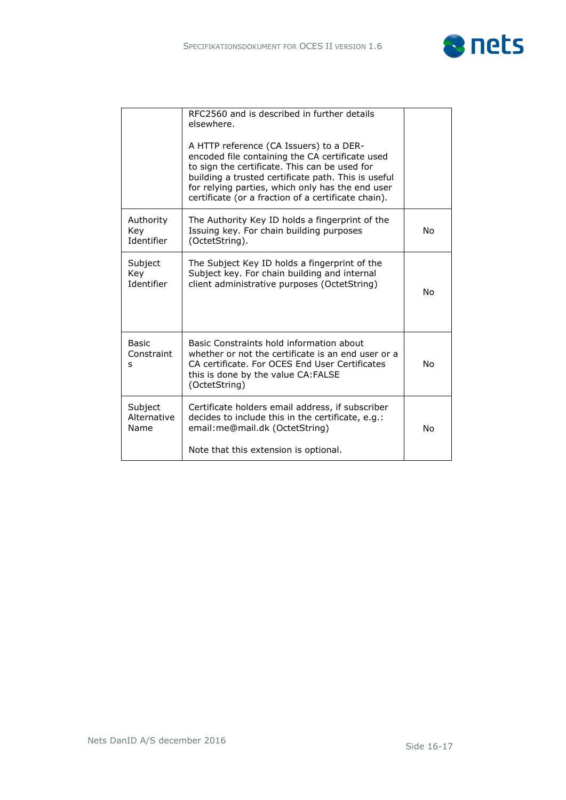

|                                     | RFC2560 and is described in further details<br>elsewhere.<br>A HTTP reference (CA Issuers) to a DER-<br>encoded file containing the CA certificate used<br>to sign the certificate. This can be used for<br>building a trusted certificate path. This is useful<br>for relying parties, which only has the end user<br>certificate (or a fraction of a certificate chain). |    |
|-------------------------------------|----------------------------------------------------------------------------------------------------------------------------------------------------------------------------------------------------------------------------------------------------------------------------------------------------------------------------------------------------------------------------|----|
| Authority<br>Key<br>Identifier      | The Authority Key ID holds a fingerprint of the<br>Issuing key. For chain building purposes<br>(OctetString).                                                                                                                                                                                                                                                              | No |
| Subject<br>Key<br><b>Identifier</b> | The Subject Key ID holds a fingerprint of the<br>Subject key. For chain building and internal<br>client administrative purposes (OctetString)                                                                                                                                                                                                                              | No |
| <b>Basic</b><br>Constraint<br>S     | Basic Constraints hold information about<br>whether or not the certificate is an end user or a<br>CA certificate. For OCES End User Certificates<br><b>No</b><br>this is done by the value CA: FALSE<br>(OctetString)                                                                                                                                                      |    |
| Subject<br>Alternative<br>Name      | Certificate holders email address, if subscriber<br>decides to include this in the certificate, e.g.:<br>email: me@mail.dk (OctetString)<br>Note that this extension is optional.                                                                                                                                                                                          | No |